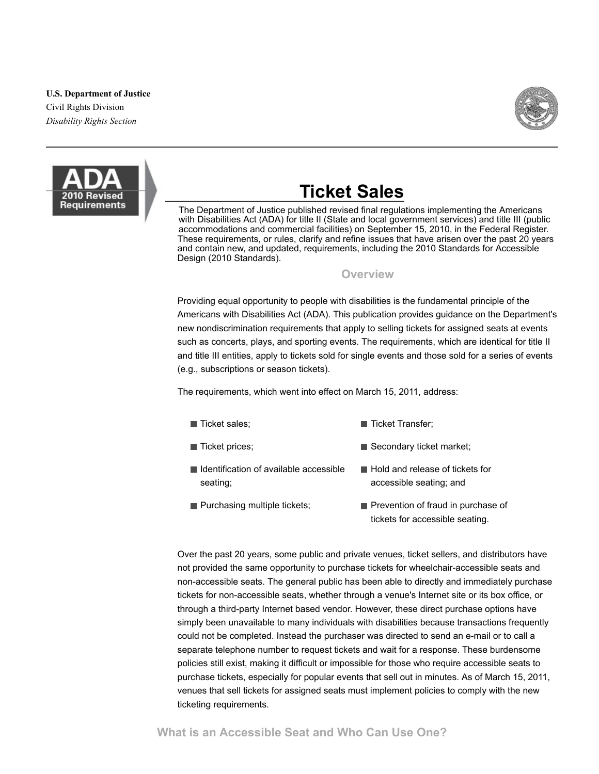#### **U.S. Department of Justice**

Civil Rights Division *Disability Rights Section*





# **Ticket Sales**

The Department of Justice published revised final regulations implementing the Americans with Disabilities Act (ADA) for title II (State and local government services) and title III (public accommodations and commercial facilities) on September 15, 2010, in the Federal Register. These requirements, or rules, clarify and refine issues that have arisen over the past 20 years and contain new, and updated, requirements, including the 2010 Standards for Accessible Design (2010 Standards).

#### **Overview**

Providing equal opportunity to people with disabilities is the fundamental principle of the Americans with Disabilities Act (ADA). This publication provides guidance on the Department's new nondiscrimination requirements that apply to selling tickets for assigned seats at events such as concerts, plays, and sporting events. The requirements, which are identical for title II and title III entities, apply to tickets sold for single events and those sold for a series of events (e.g., subscriptions or season tickets).

The requirements, which went into effect on March 15, 2011, address:

- $\blacksquare$  Ticket sales:
- Ticket Transfer;
- $\blacksquare$  Ticket prices; Secondary ticket market;
- Identification of available accessible seating;
- Hold and release of tickets for accessible seating; and
- **Purchasing multiple tickets;** Prevention of fraud in purchase of tickets for accessible seating.

Over the past 20 years, some public and private venues, ticket sellers, and distributors have not provided the same opportunity to purchase tickets for wheelchair-accessible seats and non-accessible seats. The general public has been able to directly and immediately purchase tickets for non-accessible seats, whether through a venue's Internet site or its box office, or through a third-party Internet based vendor. However, these direct purchase options have simply been unavailable to many individuals with disabilities because transactions frequently could not be completed. Instead the purchaser was directed to send an e-mail or to call a separate telephone number to request tickets and wait for a response. These burdensome policies still exist, making it difficult or impossible for those who require accessible seats to purchase tickets, especially for popular events that sell out in minutes. As of March 15, 2011, venues that sell tickets for assigned seats must implement policies to comply with the new ticketing requirements.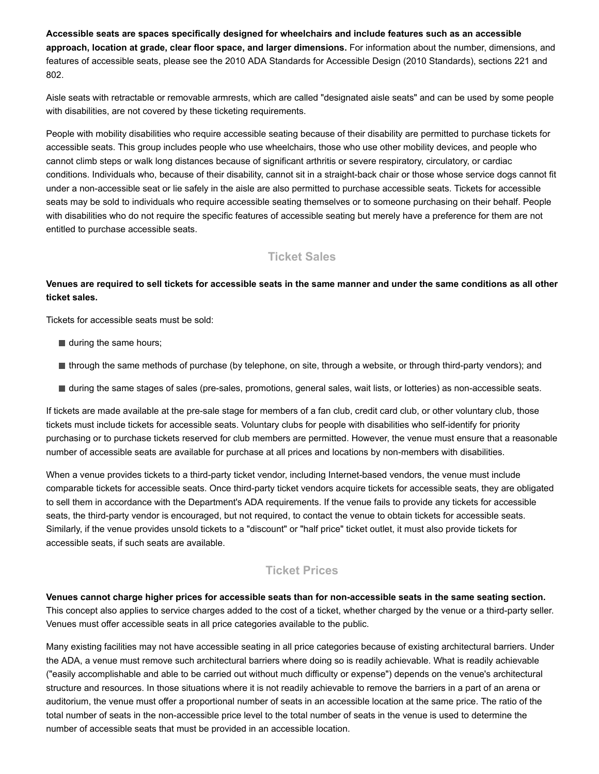**Accessible seats are spaces specifically designed for wheelchairs and include features such as an accessible approach, location at grade, clear floor space, and larger dimensions.** For information about the number, dimensions, and features of accessible seats, please see the 2010 ADA Standards for Accessible Design (2010 Standards), sections 221 and 802.

Aisle seats with retractable or removable armrests, which are called "designated aisle seats" and can be used by some people with disabilities, are not covered by these ticketing requirements.

People with mobility disabilities who require accessible seating because of their disability are permitted to purchase tickets for accessible seats. This group includes people who use wheelchairs, those who use other mobility devices, and people who cannot climb steps or walk long distances because of significant arthritis or severe respiratory, circulatory, or cardiac conditions. Individuals who, because of their disability, cannot sit in a straight-back chair or those whose service dogs cannot fit under a non-accessible seat or lie safely in the aisle are also permitted to purchase accessible seats. Tickets for accessible seats may be sold to individuals who require accessible seating themselves or to someone purchasing on their behalf. People with disabilities who do not require the specific features of accessible seating but merely have a preference for them are not entitled to purchase accessible seats.

# **Ticket Sales**

#### **Venues are required to sell tickets for accessible seats in the same manner and under the same conditions as all other ticket sales.**

Tickets for accessible seats must be sold:

- during the same hours;
- through the same methods of purchase (by telephone, on site, through a website, or through third-party vendors); and
- If during the same stages of sales (pre-sales, promotions, general sales, wait lists, or lotteries) as non-accessible seats.

If tickets are made available at the pre-sale stage for members of a fan club, credit card club, or other voluntary club, those tickets must include tickets for accessible seats. Voluntary clubs for people with disabilities who self-identify for priority purchasing or to purchase tickets reserved for club members are permitted. However, the venue must ensure that a reasonable number of accessible seats are available for purchase at all prices and locations by non-members with disabilities.

When a venue provides tickets to a third-party ticket vendor, including Internet-based vendors, the venue must include comparable tickets for accessible seats. Once third-party ticket vendors acquire tickets for accessible seats, they are obligated to sell them in accordance with the Department's ADA requirements. If the venue fails to provide any tickets for accessible seats, the third-party vendor is encouraged, but not required, to contact the venue to obtain tickets for accessible seats. Similarly, if the venue provides unsold tickets to a "discount" or "half price" ticket outlet, it must also provide tickets for accessible seats, if such seats are available.

#### **Ticket Prices**

Venues cannot charge higher prices for accessible seats than for non-accessible seats in the same seating section. This concept also applies to service charges added to the cost of a ticket, whether charged by the venue or a third-party seller. Venues must offer accessible seats in all price categories available to the public.

Many existing facilities may not have accessible seating in all price categories because of existing architectural barriers. Under the ADA, a venue must remove such architectural barriers where doing so is readily achievable. What is readily achievable ("easily accomplishable and able to be carried out without much difficulty or expense") depends on the venue's architectural structure and resources. In those situations where it is not readily achievable to remove the barriers in a part of an arena or auditorium, the venue must offer a proportional number of seats in an accessible location at the same price. The ratio of the total number of seats in the non-accessible price level to the total number of seats in the venue is used to determine the number of accessible seats that must be provided in an accessible location.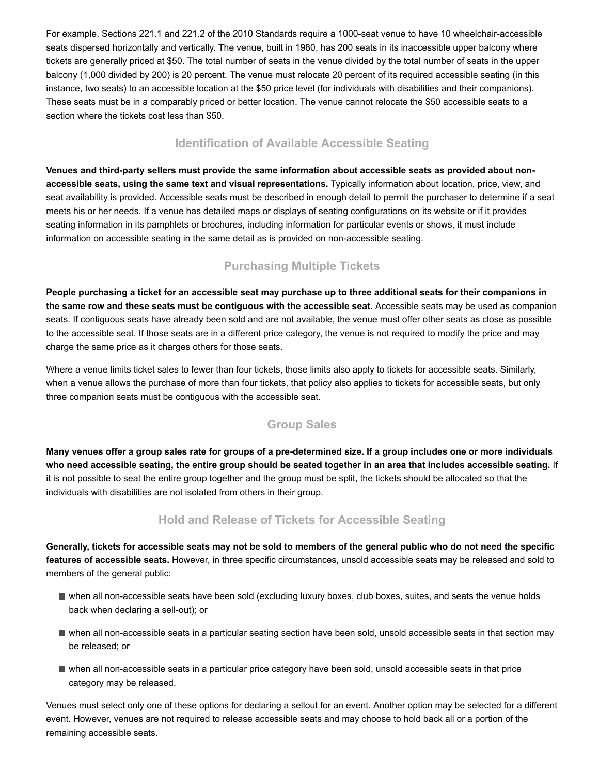For example, Sections 221.1 and 221.2 of the 2010 Standards require a 1000-seat venue to have 10 wheelchair-accessible seats dispersed horizontally and vertically. The venue, built in 1980, has 200 seats in its inaccessible upper balcony where tickets are generally priced at \$50. The total number of seats in the venue divided by the total number of seats in the upper balcony (1,000 divided by 200) is 20 percent. The venue must relocate 20 percent of its required accessible seating (in this instance, two seats) to an accessible location at the \$50 price level (for individuals with disabilities and their companions). These seats must be in a comparably priced or better location. The venue cannot relocate the \$50 accessible seats to a section where the tickets cost less than \$50.

### **Identification of Available Accessible Seating**

Venues and third-party sellers must provide the same information about accessible seats as provided about non**accessible seats, using the same text and visual representations.** Typically information about location, price, view, and seat availability is provided. Accessible seats must be described in enough detail to permit the purchaser to determine if a seat meets his or her needs. If a venue has detailed maps or displays of seating configurations on its website or if it provides seating information in its pamphlets or brochures, including information for particular events or shows, it must include information on accessible seating in the same detail as is provided on non-accessible seating.

# **Purchasing Multiple Tickets**

**People purchasing a ticket for an accessible seat may purchase up to three additional seats for their companions in the same row and these seats must be contiguous with the accessible seat.** Accessible seats may be used as companion seats. If contiguous seats have already been sold and are not available, the venue must offer other seats as close as possible to the accessible seat. If those seats are in a different price category, the venue is not required to modify the price and may charge the same price as it charges others for those seats.

Where a venue limits ticket sales to fewer than four tickets, those limits also apply to tickets for accessible seats. Similarly, when a venue allows the purchase of more than four tickets, that policy also applies to tickets for accessible seats, but only three companion seats must be contiguous with the accessible seat.

#### **Group Sales**

**Many venues offer a group sales rate for groups of a predetermined size. If a group includes one or more individuals who need accessible seating, the entire group should be seated together in an area that includes accessible seating.** If it is not possible to seat the entire group together and the group must be split, the tickets should be allocated so that the individuals with disabilities are not isolated from others in their group.

# **Hold and Release of Tickets for Accessible Seating**

**Generally, tickets for accessible seats may not be sold to members of the general public who do not need the specific features of accessible seats.** However, in three specific circumstances, unsold accessible seats may be released and sold to members of the general public:

- when all non-accessible seats have been sold (excluding luxury boxes, club boxes, suites, and seats the venue holds back when declaring a sell-out); or
- when all non-accessible seats in a particular seating section have been sold, unsold accessible seats in that section may be released; or
- when all non-accessible seats in a particular price category have been sold, unsold accessible seats in that price category may be released.

Venues must select only one of these options for declaring a sellout for an event. Another option may be selected for a different event. However, venues are not required to release accessible seats and may choose to hold back all or a portion of the remaining accessible seats.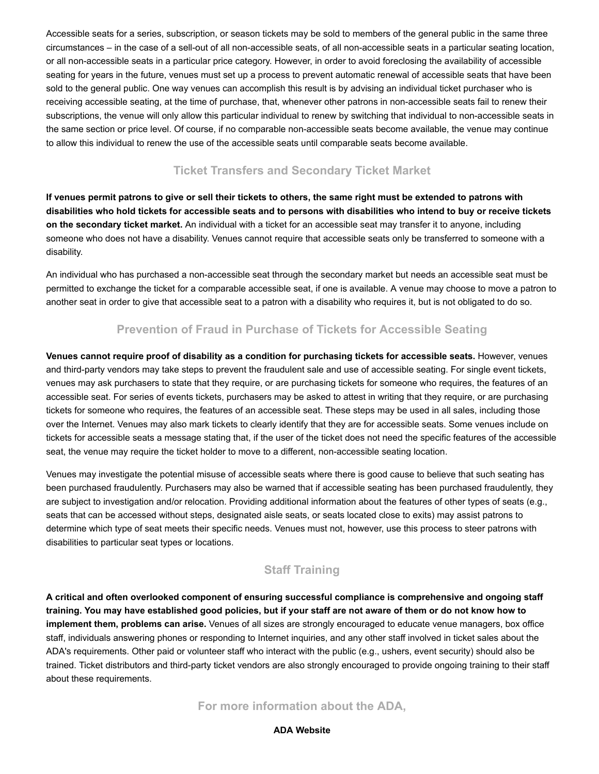Accessible seats for a series, subscription, or season tickets may be sold to members of the general public in the same three circumstances – in the case of a sell-out of all non-accessible seats, of all non-accessible seats in a particular seating location, or all nonaccessible seats in a particular price category. However, in order to avoid foreclosing the availability of accessible seating for years in the future, venues must set up a process to prevent automatic renewal of accessible seats that have been sold to the general public. One way venues can accomplish this result is by advising an individual ticket purchaser who is receiving accessible seating, at the time of purchase, that, whenever other patrons in non-accessible seats fail to renew their subscriptions, the venue will only allow this particular individual to renew by switching that individual to non-accessible seats in the same section or price level. Of course, if no comparable non-accessible seats become available, the venue may continue to allow this individual to renew the use of the accessible seats until comparable seats become available.

# **Ticket Transfers and Secondary Ticket Market**

**If venues permit patrons to give or sell their tickets to others, the same right must be extended to patrons with disabilities who hold tickets for accessible seats and to persons with disabilities who intend to buy or receive tickets on the secondary ticket market.** An individual with a ticket for an accessible seat may transfer it to anyone, including someone who does not have a disability. Venues cannot require that accessible seats only be transferred to someone with a disability.

An individual who has purchased a non-accessible seat through the secondary market but needs an accessible seat must be permitted to exchange the ticket for a comparable accessible seat, if one is available. A venue may choose to move a patron to another seat in order to give that accessible seat to a patron with a disability who requires it, but is not obligated to do so.

# **Prevention of Fraud in Purchase of Tickets for Accessible Seating**

**Venues cannot require proof of disability as a condition for purchasing tickets for accessible seats.** However, venues and third-party vendors may take steps to prevent the fraudulent sale and use of accessible seating. For single event tickets, venues may ask purchasers to state that they require, or are purchasing tickets for someone who requires, the features of an accessible seat. For series of events tickets, purchasers may be asked to attest in writing that they require, or are purchasing tickets for someone who requires, the features of an accessible seat. These steps may be used in all sales, including those over the Internet. Venues may also mark tickets to clearly identify that they are for accessible seats. Some venues include on tickets for accessible seats a message stating that, if the user of the ticket does not need the specific features of the accessible seat, the venue may require the ticket holder to move to a different, non-accessible seating location.

Venues may investigate the potential misuse of accessible seats where there is good cause to believe that such seating has been purchased fraudulently. Purchasers may also be warned that if accessible seating has been purchased fraudulently, they are subject to investigation and/or relocation. Providing additional information about the features of other types of seats (e.g., seats that can be accessed without steps, designated aisle seats, or seats located close to exits) may assist patrons to determine which type of seat meets their specific needs. Venues must not, however, use this process to steer patrons with disabilities to particular seat types or locations.

# **Staff Training**

**A critical and often overlooked component of ensuring successful compliance is comprehensive and ongoing staff training. You may have established good policies, but if your staff are not aware of them or do not know how to implement them, problems can arise.** Venues of all sizes are strongly encouraged to educate venue managers, box office staff, individuals answering phones or responding to Internet inquiries, and any other staff involved in ticket sales about the ADA's requirements. Other paid or volunteer staff who interact with the public (e.g., ushers, event security) should also be trained. Ticket distributors and third-party ticket vendors are also strongly encouraged to provide ongoing training to their staff about these requirements.

# **For more information about the ADA,**

#### **ADA Website**